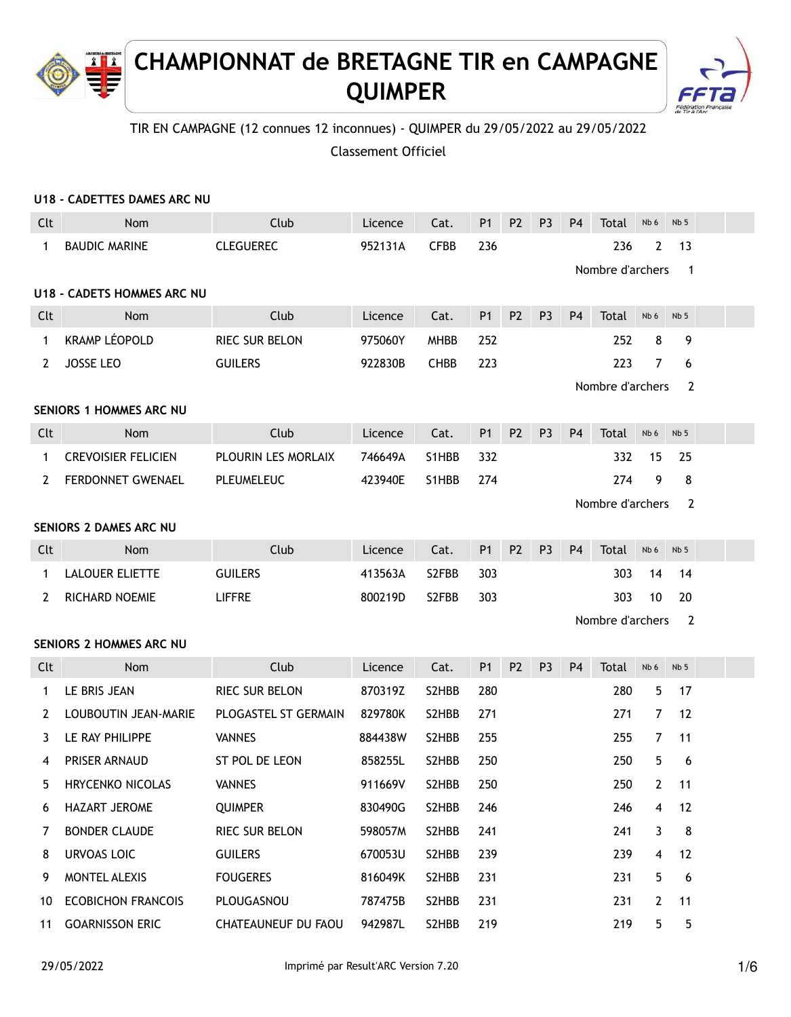# **CHAMPIONNAT de BRETAGNE TIR en CAMPAGNE QUIMPER**



# TIR EN CAMPAGNE (12 connues 12 inconnues) - QUIMPER du 29/05/2022 au 29/05/2022

Classement Officiel

|              | U18 - CADETTES DAMES ARC NU       |                       |         |             |                |                |                |                |                  |                |                          |  |
|--------------|-----------------------------------|-----------------------|---------|-------------|----------------|----------------|----------------|----------------|------------------|----------------|--------------------------|--|
| Clt          | Nom                               | Club                  | Licence | Cat.        | <b>P1</b>      | <b>P2</b>      | P <sub>3</sub> | P <sub>4</sub> | Total            | Nb 6           | Nb <sub>5</sub>          |  |
| $\mathbf 1$  | <b>BAUDIC MARINE</b>              | <b>CLEGUEREC</b>      | 952131A | <b>CFBB</b> | 236            |                |                |                | 236              | $\overline{2}$ | 13                       |  |
|              |                                   |                       |         |             |                |                |                |                | Nombre d'archers |                | $\overline{\phantom{1}}$ |  |
|              | <b>U18 - CADETS HOMMES ARC NU</b> |                       |         |             |                |                |                |                |                  |                |                          |  |
| Clt          | Nom                               | Club                  | Licence | Cat.        | P <sub>1</sub> | P <sub>2</sub> | P <sub>3</sub> | P <sub>4</sub> | Total            | Nb 6           | Nb <sub>5</sub>          |  |
| $\mathbf{1}$ | <b>KRAMP LÉOPOLD</b>              | <b>RIEC SUR BELON</b> | 975060Y | <b>MHBB</b> | 252            |                |                |                | 252              | 8              | 9                        |  |
| 2            | <b>JOSSE LEO</b>                  | <b>GUILERS</b>        | 922830B | <b>CHBB</b> | 223            |                |                |                | 223              | 7              | 6                        |  |
|              |                                   |                       |         |             |                |                |                |                | Nombre d'archers |                | $\overline{2}$           |  |
|              | <b>SENIORS 1 HOMMES ARC NU</b>    |                       |         |             |                |                |                |                |                  |                |                          |  |
| Clt          | Nom                               | Club                  | Licence | Cat.        | <b>P1</b>      | P <sub>2</sub> | P <sub>3</sub> | P <sub>4</sub> | Total            | Nb 6           | Nb <sub>5</sub>          |  |
| $\mathbf 1$  | <b>CREVOISIER FELICIEN</b>        | PLOURIN LES MORLAIX   | 746649A | S1HBB       | 332            |                |                |                | 332              | 15             | 25                       |  |
| 2            | FERDONNET GWENAEL                 | PLEUMELEUC            | 423940E | S1HBB       | 274            |                |                |                | 274              | 9              | 8                        |  |
|              |                                   |                       |         |             |                |                |                |                | Nombre d'archers |                | 2                        |  |
|              | SENIORS 2 DAMES ARC NU            |                       |         |             |                |                |                |                |                  |                |                          |  |
| Clt          | Nom                               | Club                  | Licence | Cat.        | <b>P1</b>      | <b>P2</b>      | P <sub>3</sub> | P <sub>4</sub> | Total            | Nb 6           | Nb <sub>5</sub>          |  |
| $\mathbf{1}$ | <b>LALOUER ELIETTE</b>            | <b>GUILERS</b>        | 413563A | S2FBB       | 303            |                |                |                | 303              | 14             | 14                       |  |
| 2            | <b>RICHARD NOEMIE</b>             | <b>LIFFRE</b>         | 800219D | S2FBB       | 303            |                |                |                | 303              | 10             | 20                       |  |
|              |                                   |                       |         |             |                |                |                |                | Nombre d'archers |                | $\overline{\phantom{a}}$ |  |
|              | <b>SENIORS 2 HOMMES ARC NU</b>    |                       |         |             |                |                |                |                |                  |                |                          |  |
| Clt          | Nom                               | Club                  | Licence | Cat.        | <b>P1</b>      | P <sub>2</sub> | P <sub>3</sub> | P <sub>4</sub> | Total            | Nb 6           | Nb <sub>5</sub>          |  |
| $\mathbf 1$  | LE BRIS JEAN                      | RIEC SUR BELON        | 870319Z | S2HBB       | 280            |                |                |                | 280              | 5              | 17                       |  |
| 2            | LOUBOUTIN JEAN-MARIE              | PLOGASTEL ST GERMAIN  | 829780K | S2HBB       | 271            |                |                |                | 271              | $\overline{7}$ | 12                       |  |
| 3            | LE RAY PHILIPPE                   | <b>VANNES</b>         | 884438W | S2HBB       | 255            |                |                |                | 255              | $\overline{7}$ | 11                       |  |
| 4            | <b>PRISER ARNAUD</b>              | ST POL DE LEON        | 858255L | S2HBB       | 250            |                |                |                | 250              | 5              | 6                        |  |
| 5            | HRYCENKO NICOLAS                  | <b>VANNES</b>         | 911669V | S2HBB       | 250            |                |                |                | 250              | $\mathbf{2}$   | 11                       |  |
| 6            | HAZART JEROME                     | <b>QUIMPER</b>        | 830490G | S2HBB       | 246            |                |                |                | 246              | 4              | 12                       |  |
| 7            | <b>BONDER CLAUDE</b>              | RIEC SUR BELON        | 598057M | S2HBB       | 241            |                |                |                | 241              | 3              | 8                        |  |
| 8            | <b>URVOAS LOIC</b>                | <b>GUILERS</b>        | 670053U | S2HBB       | 239            |                |                |                | 239              | 4              | 12                       |  |
| 9            | MONTEL ALEXIS                     | <b>FOUGERES</b>       | 816049K | S2HBB       | 231            |                |                |                | 231              | 5              | 6                        |  |
| 10           | <b>ECOBICHON FRANCOIS</b>         | PLOUGASNOU            | 787475B | S2HBB       | 231            |                |                |                | 231              | 2              | 11                       |  |
| 11           | <b>GOARNISSON ERIC</b>            | CHATEAUNEUF DU FAOU   | 942987L | S2HBB       | 219            |                |                |                | 219              | 5              | 5                        |  |

Æ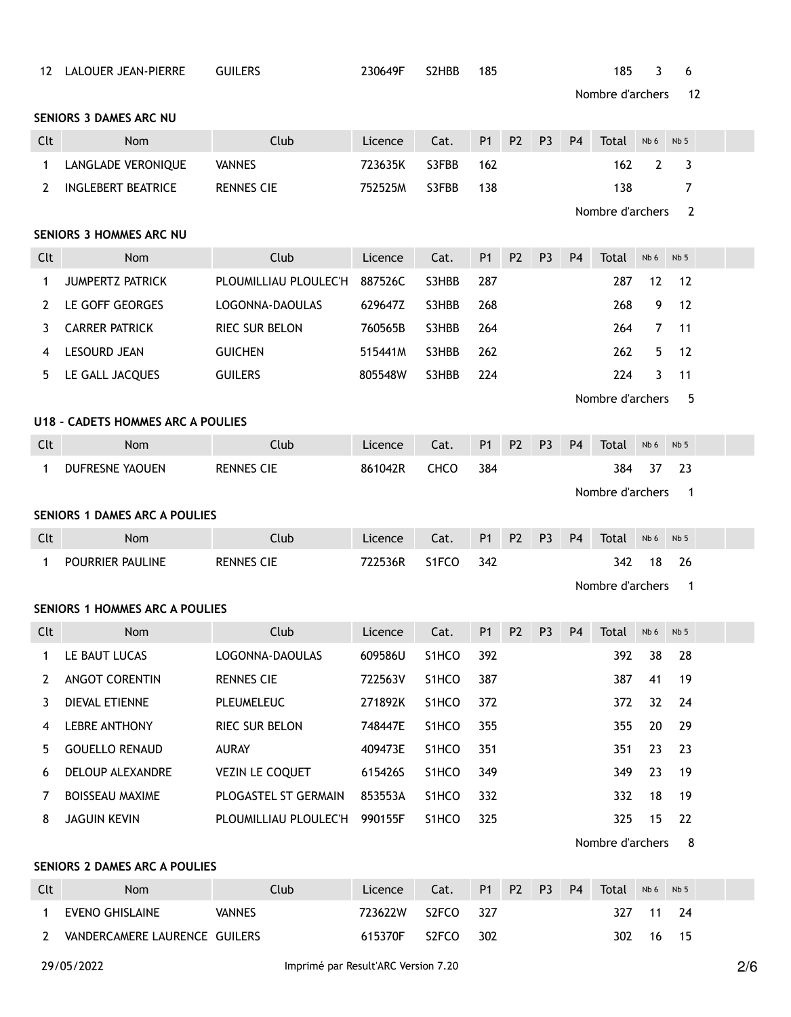| 12           | LALOUER JEAN-PIERRE                      | <b>GUILERS</b>                | 230649F | S <sub>2</sub> H <sub>B</sub> B | 185            |                |                |                | 185              | 3               | 6               |  |
|--------------|------------------------------------------|-------------------------------|---------|---------------------------------|----------------|----------------|----------------|----------------|------------------|-----------------|-----------------|--|
|              |                                          |                               |         |                                 |                |                |                |                | Nombre d'archers |                 | 12              |  |
|              | <b>SENIORS 3 DAMES ARC NU</b>            |                               |         |                                 |                |                |                |                |                  |                 |                 |  |
| Clt          | <b>Nom</b>                               | Club                          | Licence | Cat.                            | <b>P1</b>      | P <sub>2</sub> | P <sub>3</sub> | P <sub>4</sub> | Total            | Nb 6            | Nb <sub>5</sub> |  |
| 1            | LANGLADE VERONIQUE                       | <b>VANNES</b>                 | 723635K | S3FBB                           | 162            |                |                |                | 162              | $\mathbf{2}$    | 3               |  |
| 2            | <b>INGLEBERT BEATRICE</b>                | <b>RENNES CIE</b>             | 752525M | S3FBB                           | 138            |                |                |                | 138              |                 | 7               |  |
|              |                                          |                               |         |                                 |                |                |                |                | Nombre d'archers |                 | 2               |  |
|              | <b>SENIORS 3 HOMMES ARC NU</b>           |                               |         |                                 |                |                |                |                |                  |                 |                 |  |
| Clt          | <b>Nom</b>                               | Club                          | Licence | Cat.                            | <b>P1</b>      | P <sub>2</sub> | P <sub>3</sub> | <b>P4</b>      | <b>Total</b>     | Nb 6            | Nb <sub>5</sub> |  |
| 1            | <b>JUMPERTZ PATRICK</b>                  | PLOUMILLIAU PLOULEC'H         | 887526C | S3HBB                           | 287            |                |                |                | 287              | 12              | 12              |  |
| 2            | LE GOFF GEORGES                          | LOGONNA-DAOULAS               | 629647Z | S3HBB                           | 268            |                |                |                | 268              | 9               | 12              |  |
| 3            | <b>CARRER PATRICK</b>                    | <b>RIEC SUR BELON</b>         | 760565B | S3HBB                           | 264            |                |                |                | 264              | 7               | 11              |  |
| 4            | <b>LESOURD JEAN</b>                      | <b>GUICHEN</b>                | 515441M | S3HBB                           | 262            |                |                |                | 262              | 5               | 12              |  |
| 5            | LE GALL JACQUES                          | <b>GUILERS</b>                | 805548W | S3HBB                           | 224            |                |                |                | 224              | 3               | 11              |  |
|              |                                          |                               |         |                                 |                |                |                |                | Nombre d'archers |                 | 5               |  |
|              | <b>U18 - CADETS HOMMES ARC A POULIES</b> |                               |         |                                 |                |                |                |                |                  |                 |                 |  |
| Clt          | <b>Nom</b>                               | Club                          | Licence | Cat.                            | <b>P1</b>      | P <sub>2</sub> | P <sub>3</sub> | P <sub>4</sub> | Total            | Nb <sub>6</sub> | Nb <sub>5</sub> |  |
| 1            | <b>DUFRESNE YAOUEN</b>                   | <b>RENNES CIE</b>             | 861042R | CHCO                            | 384            |                |                |                | 384              | 37              | 23              |  |
|              |                                          |                               |         |                                 |                |                |                |                | Nombre d'archers |                 | - 1             |  |
|              | <b>SENIORS 1 DAMES ARC A POULIES</b>     |                               |         |                                 |                |                |                |                |                  |                 |                 |  |
| Clt          | Nom                                      | Club                          | Licence | Cat.                            | <b>P1</b>      | P <sub>2</sub> | P <sub>3</sub> | P <sub>4</sub> | Total            | Nb 6            | Nb <sub>5</sub> |  |
| 1            | POURRIER PAULINE                         | <b>RENNES CIE</b>             | 722536R | S1FCO                           | 342            |                |                |                | 342              | 18              | 26              |  |
|              |                                          |                               |         |                                 |                |                |                |                | Nombre d'archers |                 | $\overline{1}$  |  |
|              | <b>SENIORS 1 HOMMES ARC A POULIES</b>    |                               |         |                                 |                |                |                |                |                  |                 |                 |  |
| Clt          | Nom                                      | Club                          | Licence | Cat.                            | P <sub>1</sub> | P <sub>2</sub> | P <sub>3</sub> | P <sub>4</sub> | Total            | Nb 6            | Nb <sub>5</sub> |  |
| 1            | LE BAUT LUCAS                            | LOGONNA-DAOULAS               | 609586U | S1HCO                           | 392            |                |                |                | 392              | 38              | 28              |  |
| 2            | ANGOT CORENTIN                           | RENNES CIE                    | 722563V | S1HCO                           | 387            |                |                |                | 387              | 41              | 19              |  |
| 3            | DIEVAL ETIENNE                           | PLEUMELEUC                    | 271892K | S1HCO                           | 372            |                |                |                | 372              | 32              | 24              |  |
| 4            | <b>LEBRE ANTHONY</b>                     | RIEC SUR BELON                | 748447E | S1HCO                           | 355            |                |                |                | 355              | 20              | 29              |  |
| 5            | <b>GOUELLO RENAUD</b>                    | AURAY                         | 409473E | S1HCO                           | 351            |                |                |                | 351              | 23              | 23              |  |
| 6            | DELOUP ALEXANDRE                         | VEZIN LE COQUET               | 615426S | S1HCO                           | 349            |                |                |                | 349              | 23              | 19              |  |
| 7            | BOISSEAU MAXIME                          | PLOGASTEL ST GERMAIN          | 853553A | S1HCO                           | 332            |                |                |                | 332              | 18              | 19              |  |
| 8            | <b>JAGUIN KEVIN</b>                      | PLOUMILLIAU PLOULEC'H 990155F |         | S1HCO                           | 325            |                |                |                | 325              | 15              | 22              |  |
|              |                                          |                               |         |                                 |                |                |                |                | Nombre d'archers |                 | 8               |  |
|              | SENIORS 2 DAMES ARC A POULIES            |                               |         |                                 |                |                |                |                |                  |                 |                 |  |
| Clt          | Nom                                      | Club                          | Licence | Cat.                            | P1             | P <sub>2</sub> | P <sub>3</sub> | P <sub>4</sub> | Total            | Nb 6            | Nb <sub>5</sub> |  |
| $\mathbf{1}$ | EVENO GHISLAINE                          | <b>VANNES</b>                 | 723622W | S2FCO                           | 327            |                |                |                | 327              | 11              | 24              |  |

| VANDERCAMERE LAURENCE GUILERS |
|-------------------------------|
|-------------------------------|

615370F S2FCO 302 302 302 16 15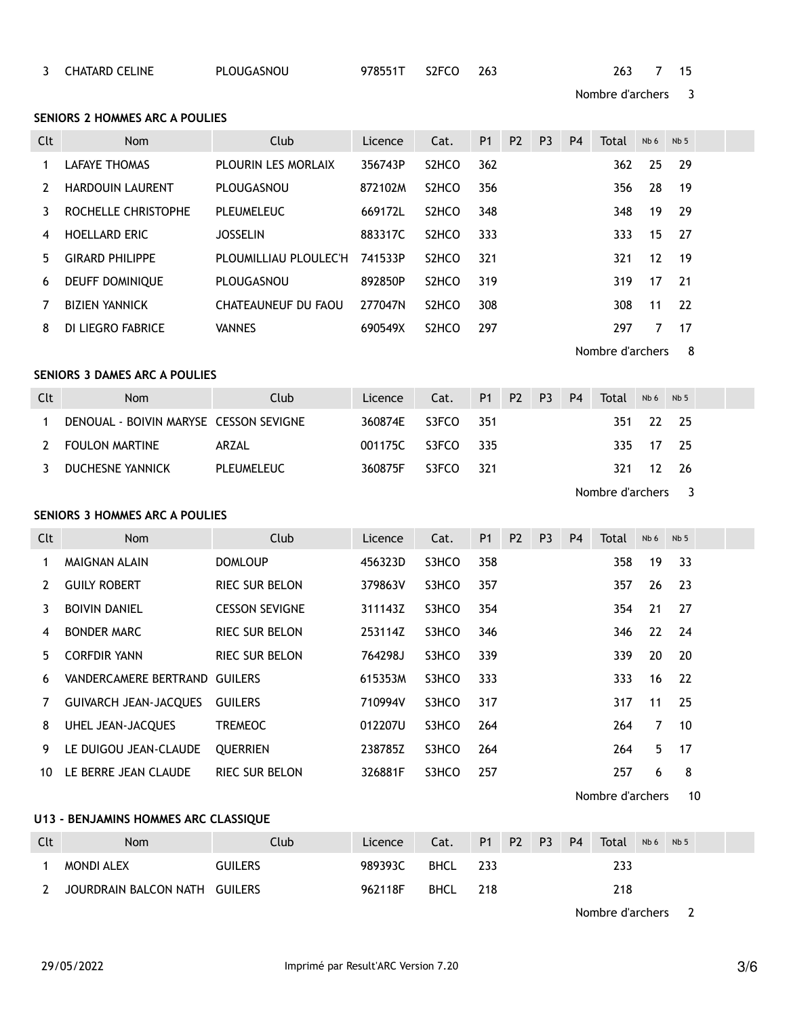| Clt            | Nom                                    | Club                  | Licence | Cat.               | P <sub>1</sub> | P <sub>2</sub> | P <sub>3</sub> | P <sub>4</sub> | Total            | Nb 6  | Nb <sub>5</sub> |  |
|----------------|----------------------------------------|-----------------------|---------|--------------------|----------------|----------------|----------------|----------------|------------------|-------|-----------------|--|
| $\mathbf{1}$   | <b>LAFAYE THOMAS</b>                   | PLOURIN LES MORLAIX   | 356743P | S <sub>2</sub> HCO | 362            |                |                |                | 362              | 25    | 29              |  |
| 2              | <b>HARDOUIN LAURENT</b>                | PLOUGASNOU            | 872102M | S <sub>2</sub> HCO | 356            |                |                |                | 356              | 28    | 19              |  |
| 3              | ROCHELLE CHRISTOPHE                    | PLEUMELEUC            | 669172L | S <sub>2</sub> HCO | 348            |                |                |                | 348              | 19    | 29              |  |
| 4              | <b>HOELLARD ERIC</b>                   | <b>JOSSELIN</b>       | 883317C | S <sub>2</sub> HCO | 333            |                |                |                | 333              | 15    | 27              |  |
| 5              | <b>GIRARD PHILIPPE</b>                 | PLOUMILLIAU PLOULEC'H | 741533P | S <sub>2</sub> HCO | 321            |                |                |                | 321              | 12    | 19              |  |
| 6              | DEUFF DOMINIQUE                        | PLOUGASNOU            | 892850P | S <sub>2</sub> HCO | 319            |                |                |                | 319              | 17    | 21              |  |
| 7              | <b>BIZIEN YANNICK</b>                  | CHATEAUNEUF DU FAOU   | 277047N | S <sub>2</sub> HCO | 308            |                |                |                | 308              | 11    | 22              |  |
| 8              | DI LIEGRO FABRICE                      | <b>VANNES</b>         | 690549X | S <sub>2</sub> HCO | 297            |                |                |                | 297              | 7     | 17              |  |
|                |                                        |                       |         |                    |                |                |                |                | Nombre d'archers |       | 8               |  |
|                | <b>SENIORS 3 DAMES ARC A POULIES</b>   |                       |         |                    |                |                |                |                |                  |       |                 |  |
| Clt            | Nom                                    | Club                  | Licence | Cat.               | <b>P1</b>      | P <sub>2</sub> | P <sub>3</sub> | P <sub>4</sub> | Total            | Nb 6  | Nb <sub>5</sub> |  |
| $\mathbf{1}$   | DENOUAL - BOIVIN MARYSE CESSON SEVIGNE |                       | 360874E | S3FCO              | 351            |                |                |                | 351              | 22    | 25              |  |
| 2              | <b>FOULON MARTINE</b>                  | ARZAL                 | 001175C | S3FCO              | 335            |                |                |                | 335              | 17    | 25              |  |
| 3              | <b>DUCHESNE YANNICK</b>                | <b>PLEUMELEUC</b>     | 360875F | S3FCO              | 321            |                |                |                | 321              | 12    | 26              |  |
|                |                                        |                       |         |                    |                |                |                |                | Nombre d'archers |       | 3               |  |
|                | <b>SENIORS 3 HOMMES ARC A POULIES</b>  |                       |         |                    |                |                |                |                |                  |       |                 |  |
| Clt            | Nom                                    | Club                  | Licence | Cat.               | P <sub>1</sub> | P <sub>2</sub> | P <sub>3</sub> | <b>P4</b>      | Total            | Nb 6  | Nb <sub>5</sub> |  |
| 1              | MAIGNAN ALAIN                          | <b>DOMLOUP</b>        | 456323D | S3HCO              | 358            |                |                |                | 358              | 19    | 33              |  |
| $\overline{2}$ | <b>GUILY ROBERT</b>                    | RIEC SUR BELON        | 379863V | S3HCO              | 357            |                |                |                | 357              | 26    | 23              |  |
| 3              | <b>BOIVIN DANIEL</b>                   | <b>CESSON SEVIGNE</b> | 311143Z | S3HCO              | 354            |                |                |                | 354              | 21    | 27              |  |
| 4              | <b>BONDER MARC</b>                     | RIEC SUR BELON        | 253114Z | S3HCO              | 346            |                |                |                | 346              | 22    | 24              |  |
| 5              | <b>CORFDIR YANN</b>                    | RIEC SUR BELON        | 764298J | S3HCO              | 339            |                |                |                | 339              | 20    | 20              |  |
| 6              | VANDERCAMERE BERTRAND GUILERS          |                       | 615353M | S3HCO              | 333            |                |                |                | 333              | 16    | 22              |  |
| 7              | <b>GUIVARCH JEAN-JACOUES</b>           | <b>GUILERS</b>        | 710994V | S3HCO              | 317            |                |                |                | 317              | 11    | 25              |  |
|                | UHEL JEAN-JACQUES                      | <b>TREMEOC</b>        | 012207U | S3HCO              | 264            |                |                |                |                  | 264 7 | 10              |  |
| 9              | LE DUIGOU JEAN-CLAUDE                  | <b>QUERRIEN</b>       | 238785Z | S3HCO              | 264            |                |                |                | 264              | 5     | 17              |  |
| 10             | LE BERRE JEAN CLAUDE                   | RIEC SUR BELON        | 326881F | S3HCO              | 257            |                |                |                | 257              | 6     | 8               |  |
|                |                                        |                       |         |                    |                |                |                |                | Nombre d'archers |       | 10              |  |
|                | U13 - BENJAMINS HOMMES ARC CLASSIQUE   |                       |         |                    |                |                |                |                |                  |       |                 |  |
| Clt            | Nom                                    | Club                  | Licence | Cat.               | P <sub>1</sub> | P <sub>2</sub> | P <sub>3</sub> | P <sub>4</sub> | Total            | Nb 6  | Nb <sub>5</sub> |  |
| 1              | <b>MONDI ALEX</b>                      | <b>GUILERS</b>        | 989393C | <b>BHCL</b>        | 233            |                |                |                | 233              |       |                 |  |
| 2              | JOURDRAIN BALCON NATH GUILERS          |                       | 962118F | <b>BHCL</b>        | 218            |                |                |                | 218              |       |                 |  |
|                |                                        |                       |         |                    |                |                |                |                | Nombre d'archers |       | 2               |  |
|                |                                        |                       |         |                    |                |                |                |                |                  |       |                 |  |

**SENIORS 2 HOMMES ARC A POULIES**

Nombre d'archers 3

CHATARD CELINE PLOUGASNOU 978551T S2FCO 263 263 7 15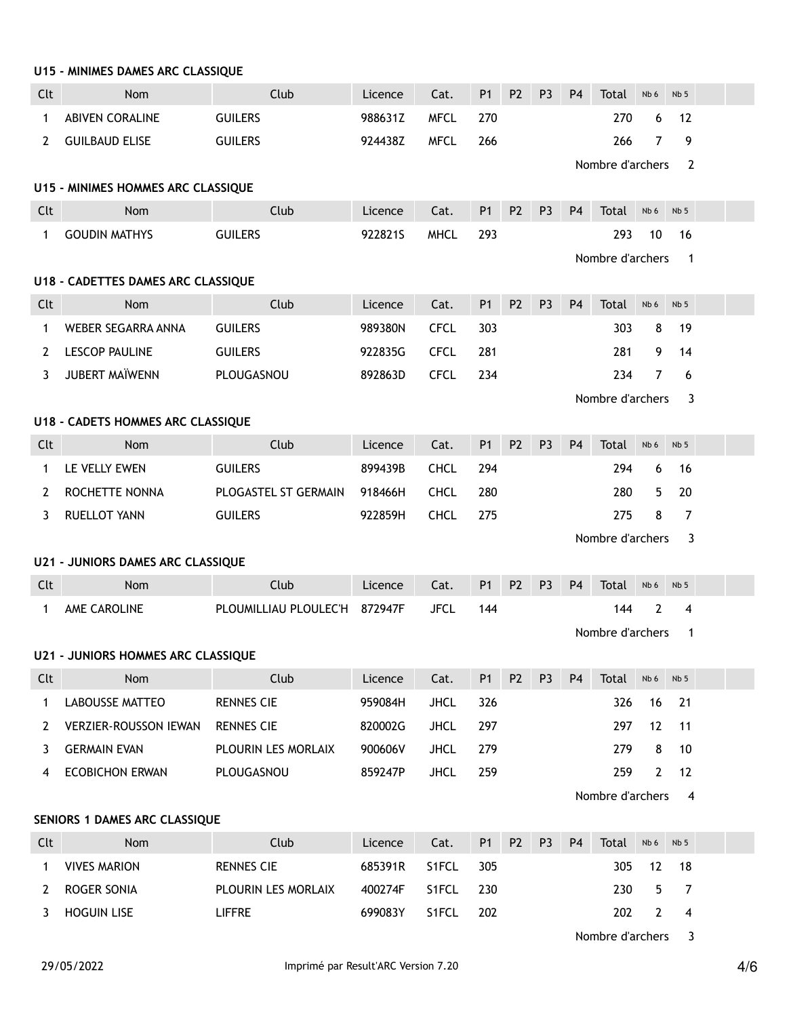|              | U15 - MINIMES DAMES ARC CLASSIQUE         |                       |         |             |                |                |                |                |                         |                |                         |  |
|--------------|-------------------------------------------|-----------------------|---------|-------------|----------------|----------------|----------------|----------------|-------------------------|----------------|-------------------------|--|
| Clt          | Nom                                       | Club                  | Licence | Cat.        | <b>P1</b>      | P <sub>2</sub> | P <sub>3</sub> | P <sub>4</sub> | Total                   | Nb 6           | Nb <sub>5</sub>         |  |
| $\mathbf 1$  | <b>ABIVEN CORALINE</b>                    | <b>GUILERS</b>        | 988631Z | <b>MFCL</b> | 270            |                |                |                | 270                     | 6              | 12                      |  |
| 2            | <b>GUILBAUD ELISE</b>                     | <b>GUILERS</b>        | 924438Z | <b>MFCL</b> | 266            |                |                |                | 266<br>Nombre d'archers | 7              | 9<br>$\overline{2}$     |  |
|              | U15 - MINIMES HOMMES ARC CLASSIQUE        |                       |         |             |                |                |                |                |                         |                |                         |  |
| Clt          | Nom                                       | Club                  | Licence | Cat.        | P <sub>1</sub> | P <sub>2</sub> | P <sub>3</sub> | <b>P4</b>      | Total                   | Nb 6           | Nb <sub>5</sub>         |  |
| $\mathbf 1$  | <b>GOUDIN MATHYS</b>                      | <b>GUILERS</b>        | 9228215 | <b>MHCL</b> | 293            |                |                |                | 293                     | 10             | 16                      |  |
|              |                                           |                       |         |             |                |                |                |                | Nombre d'archers        |                | $\mathbf{1}$            |  |
|              | U18 - CADETTES DAMES ARC CLASSIQUE        |                       |         |             |                |                |                |                |                         |                |                         |  |
| Clt          | Nom                                       | Club                  | Licence | Cat.        | P <sub>1</sub> | P <sub>2</sub> | P <sub>3</sub> | P <sub>4</sub> | Total                   | Nb 6           | Nb <sub>5</sub>         |  |
| 1            | WEBER SEGARRA ANNA                        | <b>GUILERS</b>        | 989380N | <b>CFCL</b> | 303            |                |                |                | 303                     | 8              | 19                      |  |
| 2            | <b>LESCOP PAULINE</b>                     | <b>GUILERS</b>        | 922835G | <b>CFCL</b> | 281            |                |                |                | 281                     | 9              | 14                      |  |
| 3            | <b>JUBERT MAÏWENN</b>                     | PLOUGASNOU            | 892863D | <b>CFCL</b> | 234            |                |                |                | 234                     | $\overline{7}$ | 6                       |  |
|              |                                           |                       |         |             |                |                |                |                | Nombre d'archers        |                | 3                       |  |
|              | <b>U18 - CADETS HOMMES ARC CLASSIQUE</b>  |                       |         |             |                |                |                |                |                         |                |                         |  |
| Clt          | Nom                                       | Club                  | Licence | Cat.        | <b>P1</b>      | P <sub>2</sub> | P <sub>3</sub> | P <sub>4</sub> | Total                   | Nb 6           | Nb <sub>5</sub>         |  |
| 1            | LE VELLY EWEN                             | <b>GUILERS</b>        | 899439B | <b>CHCL</b> | 294            |                |                |                | 294                     | 6              | 16                      |  |
| 2            | ROCHETTE NONNA                            | PLOGASTEL ST GERMAIN  | 918466H | <b>CHCL</b> | 280            |                |                |                | 280                     | 5              | 20                      |  |
| 3            | <b>RUELLOT YANN</b>                       | <b>GUILERS</b>        | 922859H | <b>CHCL</b> | 275            |                |                |                | 275                     | 8              | $\overline{7}$          |  |
|              |                                           |                       |         |             |                |                |                |                | Nombre d'archers        |                | 3                       |  |
|              | <b>U21 - JUNIORS DAMES ARC CLASSIQUE</b>  |                       |         |             |                |                |                |                |                         |                |                         |  |
| Clt          | <b>Nom</b>                                | Club                  | Licence | Cat.        | P <sub>1</sub> | P <sub>2</sub> | P <sub>3</sub> | P <sub>4</sub> | Total                   | Nb 6           | Nb <sub>5</sub>         |  |
| $\mathbf{1}$ | AME CAROLINE                              | PLOUMILLIAU PLOULEC'H | 872947F | <b>JFCL</b> | 144            |                |                |                | 144                     | 2              | 4                       |  |
|              |                                           |                       |         |             |                |                |                |                | Nombre d'archers        |                | $\mathbf{1}$            |  |
|              | <b>U21 - JUNIORS HOMMES ARC CLASSIQUE</b> |                       |         |             |                |                |                |                |                         |                |                         |  |
| Clt          | Nom                                       | Club                  | Licence | Cat.        | P <sub>1</sub> | P <sub>2</sub> | P <sub>3</sub> | P <sub>4</sub> | Total                   | Nb 6           | Nb <sub>5</sub>         |  |
| $\mathbf{1}$ | <b>LABOUSSE MATTEO</b>                    | <b>RENNES CIE</b>     | 959084H | <b>JHCL</b> | 326            |                |                |                | 326                     | 16             | 21                      |  |
| 2            | <b>VERZIER-ROUSSON IEWAN</b>              | <b>RENNES CIE</b>     | 820002G | <b>JHCL</b> | 297            |                |                |                | 297                     | 12             | 11                      |  |
| 3            | <b>GERMAIN EVAN</b>                       | PLOURIN LES MORLAIX   | 900606V | <b>JHCL</b> | 279            |                |                |                | 279                     | 8              | 10                      |  |
| 4            | <b>ECOBICHON ERWAN</b>                    | PLOUGASNOU            | 859247P | <b>JHCL</b> | 259            |                |                |                | 259                     | $\mathbf{2}$   | 12                      |  |
|              |                                           |                       |         |             |                |                |                |                | Nombre d'archers        |                | 4                       |  |
|              | SENIORS 1 DAMES ARC CLASSIQUE             |                       |         |             |                |                |                |                |                         |                |                         |  |
| Clt          | Nom                                       | Club                  | Licence | Cat.        | P1             | P <sub>2</sub> | P <sub>3</sub> | P <sub>4</sub> | Total                   | Nb 6           | Nb <sub>5</sub>         |  |
| 1            | <b>VIVES MARION</b>                       | <b>RENNES CIE</b>     | 685391R | S1FCL       | 305            |                |                |                | 305                     | 12             | 18                      |  |
| 2            | ROGER SONIA                               | PLOURIN LES MORLAIX   | 400274F | S1FCL       | 230            |                |                |                | 230                     | 5              | 7                       |  |
| 3            | <b>HOGUIN LISE</b>                        | <b>LIFFRE</b>         | 699083Y | S1FCL       | 202            |                |                |                | 202                     | $\overline{2}$ | 4                       |  |
|              |                                           |                       |         |             |                |                |                |                | Nombre d'archers        |                | $\overline{\mathbf{3}}$ |  |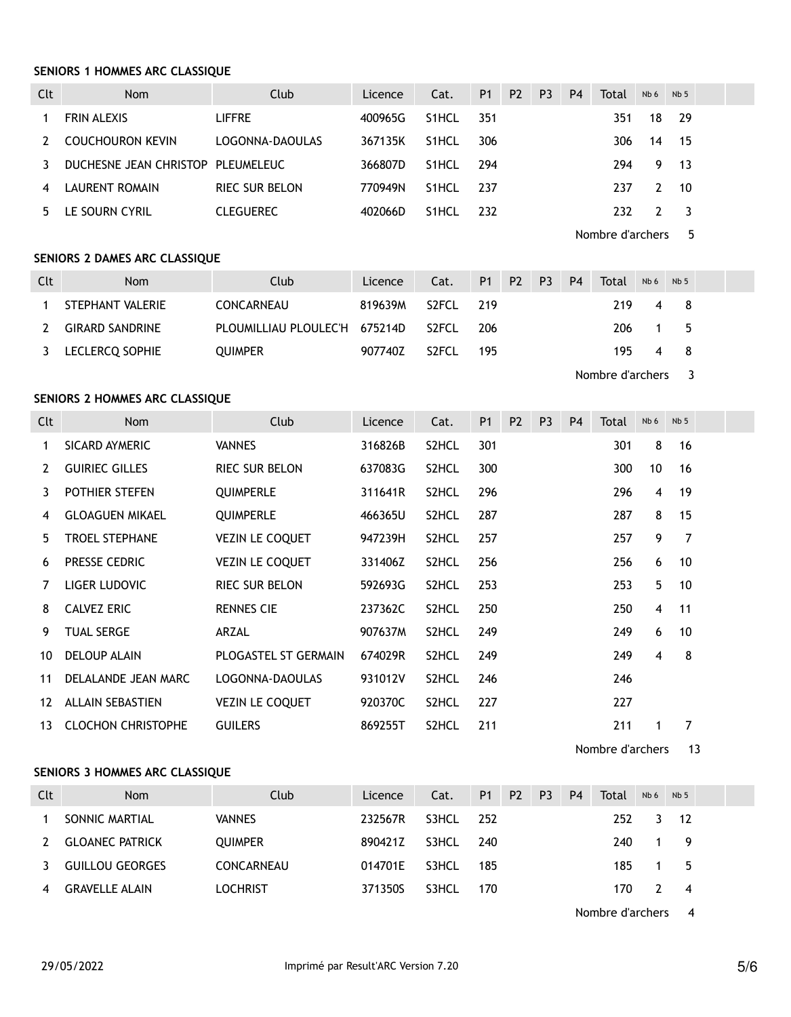### **SENIORS 1 HOMMES ARC CLASSIQUE**

| Clt | <b>Nom</b>                        | Club                  | Licence | Cat.               | <b>P1</b> | P <sub>2</sub> | P <sub>3</sub> | P <sub>4</sub> | Total | Nb <sub>6</sub> | Nb <sub>5</sub> |  |
|-----|-----------------------------------|-----------------------|---------|--------------------|-----------|----------------|----------------|----------------|-------|-----------------|-----------------|--|
|     | <b>FRIN ALEXIS</b>                | <b>LIFFRE</b>         | 400965G | S1HCL              | 351       |                |                |                | 351   | 18              | - 29            |  |
|     | <b>COUCHOURON KEVIN</b>           | LOGONNA-DAOULAS       | 367135K | S1HCL              | 306       |                |                |                | 306   | 14              | - 15            |  |
|     | DUCHESNE JEAN CHRISTOP PLEUMELEUC |                       | 366807D | S1HCL              | -294      |                |                |                | 294   | 9.              | $-13$           |  |
|     | LAURENT ROMAIN                    | <b>RIEC SUR BELON</b> | 770949N | <b>S1HCL</b>       | -237      |                |                |                | 237   | 2               | -10             |  |
|     | LE SOURN CYRIL                    | CLEGUEREC             | 402066D | S <sub>1</sub> HCL | 232       |                |                |                | 232   |                 |                 |  |

Nombre d'archers 5

### **SENIORS 2 DAMES ARC CLASSIQUE**

| Clt | <b>Nom</b>             | Club                          | Licence | Cat.               | P <sub>1</sub> | $-$ P2 $-$ | <b>P3</b> | P <sub>4</sub> | Total | Nb 6 | Nb <sub>5</sub> |  |
|-----|------------------------|-------------------------------|---------|--------------------|----------------|------------|-----------|----------------|-------|------|-----------------|--|
|     | STEPHANT VALERIE       | CONCARNEAU                    | 819639M | S2FCL              | 219            |            |           |                | 219   |      | 48              |  |
| 2   | <b>GIRARD SANDRINE</b> | PLOUMILLIAU PLOULEC'H 675214D |         | S <sub>2</sub> FCL | 206            |            |           |                | 206   | 15   |                 |  |
|     | 3 LECLERCO SOPHIE      | <b>OUIMPER</b>                | 907740Z | S <sub>2</sub> FCL | 195            |            |           |                | 195 — | -4   |                 |  |

Nombre d'archers 3

## **SENIORS 2 HOMMES ARC CLASSIQUE**

| Clt | <b>Nom</b>                | Club                   | Licence | Cat.               | <b>P1</b> | <b>P2</b> | P <sub>3</sub> | <b>P4</b> | Total | Nb 6            | Nb <sub>5</sub> |  |
|-----|---------------------------|------------------------|---------|--------------------|-----------|-----------|----------------|-----------|-------|-----------------|-----------------|--|
| 1   | SICARD AYMERIC            | <b>VANNES</b>          | 316826B | S <sub>2</sub> HCL | 301       |           |                |           | 301   | 8               | 16              |  |
| 2   | <b>GUIRIEC GILLES</b>     | <b>RIEC SUR BELON</b>  | 637083G | S2HCL              | 300       |           |                |           | 300   | 10 <sup>°</sup> | 16              |  |
| 3   | POTHIER STEFEN            | <b>QUIMPERLE</b>       | 311641R | S2HCL              | 296       |           |                |           | 296   | 4               | 19              |  |
| 4   | <b>GLOAGUEN MIKAEL</b>    | <b>QUIMPERLE</b>       | 466365U | S2HCL              | 287       |           |                |           | 287   | 8               | 15              |  |
| 5.  | <b>TROEL STEPHANE</b>     | <b>VEZIN LE COQUET</b> | 947239H | S2HCL              | 257       |           |                |           | 257   | 9               | $\overline{7}$  |  |
| 6   | PRESSE CEDRIC             | <b>VEZIN LE COQUET</b> | 331406Z | S2HCL              | 256       |           |                |           | 256   | 6               | 10              |  |
| 7   | LIGER LUDOVIC             | <b>RIEC SUR BELON</b>  | 592693G | S2HCL              | 253       |           |                |           | 253   | 5               | 10              |  |
| 8   | <b>CALVEZ ERIC</b>        | <b>RENNES CIE</b>      | 237362C | S2HCL              | 250       |           |                |           | 250   | $\overline{4}$  | 11              |  |
| 9   | TUAL SERGE                | ARZAL                  | 907637M | S <sub>2</sub> HCL | 249       |           |                |           | 249   | 6               | 10              |  |
| 10  | <b>DELOUP ALAIN</b>       | PLOGASTEL ST GERMAIN   | 674029R | S2HCL              | 249       |           |                |           | 249   | 4               | 8               |  |
| 11  | DELALANDE JEAN MARC       | LOGONNA-DAOULAS        | 931012V | S2HCL              | 246       |           |                |           | 246   |                 |                 |  |
| 12  | <b>ALLAIN SEBASTIEN</b>   | <b>VEZIN LE COQUET</b> | 920370C | S <sub>2</sub> HCL | 227       |           |                |           | 227   |                 |                 |  |
| 13  | <b>CLOCHON CHRISTOPHE</b> | <b>GUILERS</b>         | 869255T | S2HCL              | 211       |           |                |           | 211   | 1               | 7               |  |

Nombre d'archers 13

# **SENIORS 3 HOMMES ARC CLASSIQUE**

| Clt | <b>Nom</b>             | Club              | Licence | Cat.  | <b>P1</b> | P <sub>2</sub> | P <sub>3</sub> | P <sub>4</sub> | Total | Nb 6 | Nb <sub>5</sub> |  |
|-----|------------------------|-------------------|---------|-------|-----------|----------------|----------------|----------------|-------|------|-----------------|--|
|     | SONNIC MARTIAL         | <b>VANNES</b>     | 232567R | S3HCL | -252      |                |                |                | 252   | 3    | $-12$           |  |
|     | <b>GLOANEC PATRICK</b> | <b>OUIMPER</b>    | 890421Z | S3HCL | 240       |                |                |                | 240   |      | - 9             |  |
|     | <b>GUILLOU GEORGES</b> | <b>CONCARNEAU</b> | 014701E | S3HCL | 185       |                |                |                | 185   |      | - 5             |  |
|     | <b>GRAVELLE ALAIN</b>  | LOCHRIST          | 371350S | S3HCL | 170       |                |                |                | 170.  |      | - 4             |  |

Nombre d'archers 4